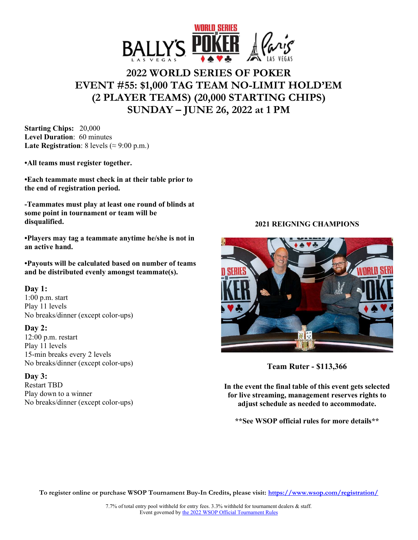

# **2022 WORLD SERIES OF POKER EVENT #55: \$1,000 TAG TEAM NO-LIMIT HOLD'EM (2 PLAYER TEAMS) (20,000 STARTING CHIPS) SUNDAY – JUNE 26, 2022 at 1 PM**

**Starting Chips:** 20,000 **Level Duration**: 60 minutes **Late Registration**: 8 levels ( $\approx$  9:00 p.m.)

**•All teams must register together.** 

**•Each teammate must check in at their table prior to the end of registration period.** 

**-Teammates must play at least one round of blinds at some point in tournament or team will be disqualified.** 

**•Players may tag a teammate anytime he/she is not in an active hand.** 

**•Payouts will be calculated based on number of teams and be distributed evenly amongst teammate(s).** 

## **Day 1:**

1:00 p.m. start Play 11 levels No breaks/dinner (except color-ups)

#### **Day 2:**

12:00 p.m. restart Play 11 levels 15-min breaks every 2 levels No breaks/dinner (except color-ups)

#### **Day 3:**

Restart TBD Play down to a winner No breaks/dinner (except color-ups)

## **2021 REIGNING CHAMPIONS**



**Team Ruter - \$113,366** 

**In the event the final table of this event gets selected for live streaming, management reserves rights to adjust schedule as needed to accommodate.** 

**\*\*See WSOP official rules for more details\*\*** 

**To register online or purchase WSOP Tournament Buy-In Credits, please visit: https://www.wsop.com/registration/**